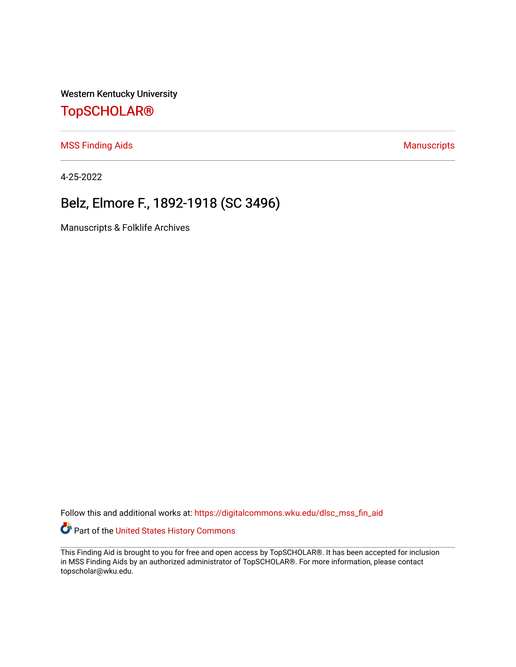Western Kentucky University

## [TopSCHOLAR®](https://digitalcommons.wku.edu/)

[MSS Finding Aids](https://digitalcommons.wku.edu/dlsc_mss_fin_aid) **Manuscripts** [Manuscripts](https://digitalcommons.wku.edu/dlsc_mss) **Manuscripts** 

4-25-2022

# Belz, Elmore F., 1892-1918 (SC 3496)

Manuscripts & Folklife Archives

Follow this and additional works at: [https://digitalcommons.wku.edu/dlsc\\_mss\\_fin\\_aid](https://digitalcommons.wku.edu/dlsc_mss_fin_aid?utm_source=digitalcommons.wku.edu%2Fdlsc_mss_fin_aid%2F5007&utm_medium=PDF&utm_campaign=PDFCoverPages) 

Part of the [United States History Commons](http://network.bepress.com/hgg/discipline/495?utm_source=digitalcommons.wku.edu%2Fdlsc_mss_fin_aid%2F5007&utm_medium=PDF&utm_campaign=PDFCoverPages) 

This Finding Aid is brought to you for free and open access by TopSCHOLAR®. It has been accepted for inclusion in MSS Finding Aids by an authorized administrator of TopSCHOLAR®. For more information, please contact topscholar@wku.edu.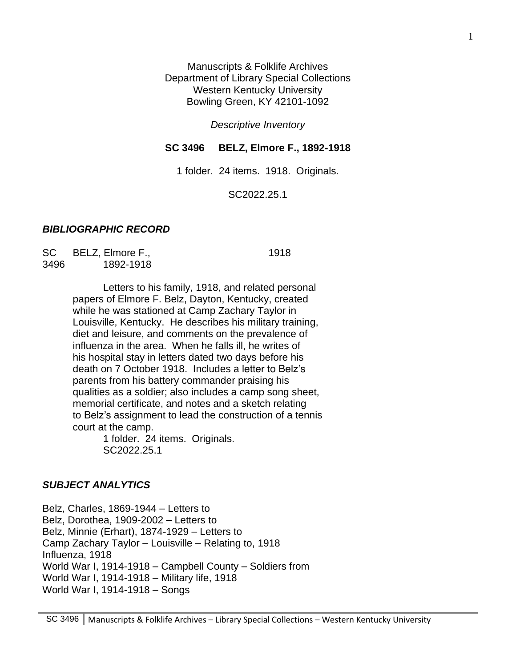Manuscripts & Folklife Archives Department of Library Special Collections Western Kentucky University Bowling Green, KY 42101-1092

*Descriptive Inventory*

#### **SC 3496 BELZ, Elmore F., 1892-1918**

1 folder. 24 items. 1918. Originals.

SC2022.25.1

#### *BIBLIOGRAPHIC RECORD*

SC BELZ, Elmore F., 1918 3496 1892-1918

Letters to his family, 1918, and related personal papers of Elmore F. Belz, Dayton, Kentucky, created while he was stationed at Camp Zachary Taylor in Louisville, Kentucky. He describes his military training, diet and leisure, and comments on the prevalence of influenza in the area. When he falls ill, he writes of his hospital stay in letters dated two days before his death on 7 October 1918. Includes a letter to Belz's parents from his battery commander praising his qualities as a soldier; also includes a camp song sheet, memorial certificate, and notes and a sketch relating to Belz's assignment to lead the construction of a tennis court at the camp.

1 folder. 24 items. Originals. SC2022.25.1

#### *SUBJECT ANALYTICS*

Belz, Charles, 1869-1944 – Letters to Belz, Dorothea, 1909-2002 – Letters to Belz, Minnie (Erhart), 1874-1929 – Letters to Camp Zachary Taylor – Louisville – Relating to, 1918 Influenza, 1918 World War I, 1914-1918 – Campbell County – Soldiers from World War I, 1914-1918 – Military life, 1918 World War I, 1914-1918 – Songs